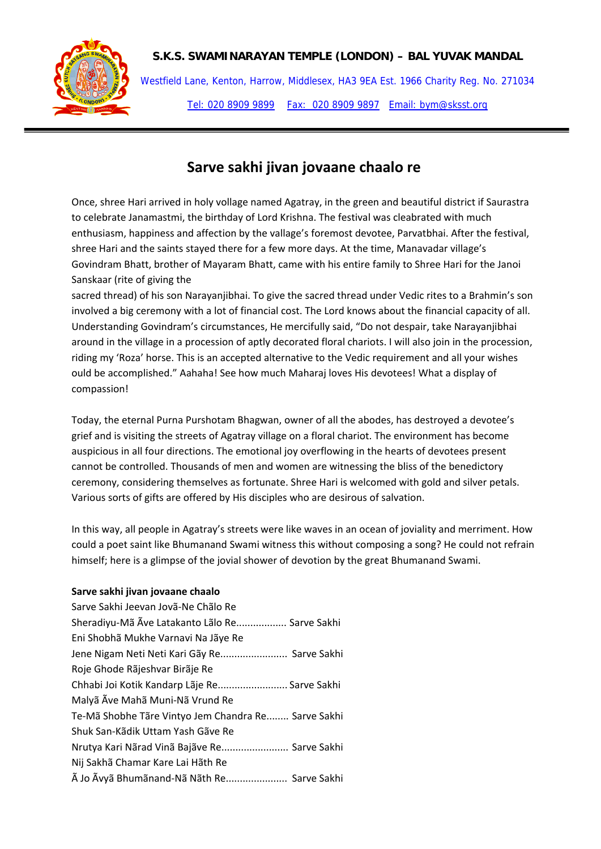

Westfield Lane, Kenton, Harrow, Middlesex, HA3 9EA Est. 1966 Charity Reg. No. 271034 Tel: 020 8909 9899 Fax: 020 8909 9897 Email: bym@sksst.org

# **Sarve sakhi jivan jovaane chaalo re**

Once, shree Hari arrived in holy vollage named Agatray, in the green and beautiful district if Saurastra to celebrate Janamastmi, the birthday of Lord Krishna. The festival was cleabrated with much enthusiasm, happiness and affection by the vallage's foremost devotee, Parvatbhai. After the festival, shree Hari and the saints stayed there for a few more days. At the time, Manavadar village's Govindram Bhatt, brother of Mayaram Bhatt, came with his entire family to Shree Hari for the Janoi Sanskaar (rite of giving the

sacred thread) of his son Narayanjibhai. To give the sacred thread under Vedic rites to a Brahmin's son involved a big ceremony with a lot of financial cost. The Lord knows about the financial capacity of all. Understanding Govindram's circumstances, He mercifully said, "Do not despair, take Narayanjibhai around in the village in a procession of aptly decorated floral chariots. I will also join in the procession, riding my 'Roza' horse. This is an accepted alternative to the Vedic requirement and all your wishes ould be accomplished." Aahaha! See how much Maharaj loves His devotees! What a display of compassion!

Today, the eternal Purna Purshotam Bhagwan, owner of all the abodes, has destroyed a devotee's grief and is visiting the streets of Agatray village on a floral chariot. The environment has become auspicious in all four directions. The emotional joy overflowing in the hearts of devotees present cannot be controlled. Thousands of men and women are witnessing the bliss of the benedictory ceremony, considering themselves as fortunate. Shree Hari is welcomed with gold and silver petals. Various sorts of gifts are offered by His disciples who are desirous of salvation.

In this way, all people in Agatray's streets were like waves in an ocean of joviality and merriment. How could a poet saint like Bhumanand Swami witness this without composing a song? He could not refrain himself; here is a glimpse of the jovial shower of devotion by the great Bhumanand Swami.

## **Sarve sakhi jivan jovaane chaalo**

| Sarve Sakhi Jeevan Jovã-Ne Chãlo Re                 |
|-----------------------------------------------------|
| Sheradiyu-Mã Ãve Latakanto Lãlo Re Sarve Sakhi      |
| Eni Shobhã Mukhe Varnavi Na Jãye Re                 |
| Jene Nigam Neti Neti Kari Gãy Re Sarve Sakhi        |
| Roje Ghode Rãjeshvar Birãje Re                      |
| Chhabi Joi Kotik Kandarp Lãje Re Sarve Sakhi        |
| Malyã Ãve Mahã Muni-Nã Vrund Re                     |
| Te-Mã Shobhe Tãre Vintyo Jem Chandra Re Sarve Sakhi |
| Shuk San-Kãdik Uttam Yash Gãve Re                   |
| Nrutya Kari Nãrad Vinã Bajãve Re Sarve Sakhi        |
| Nij Sakhã Chamar Kare Lai Hãth Re                   |
| à Jo Ãvyã Bhumãnand-Nã Nãth Re Sarve Sakhi          |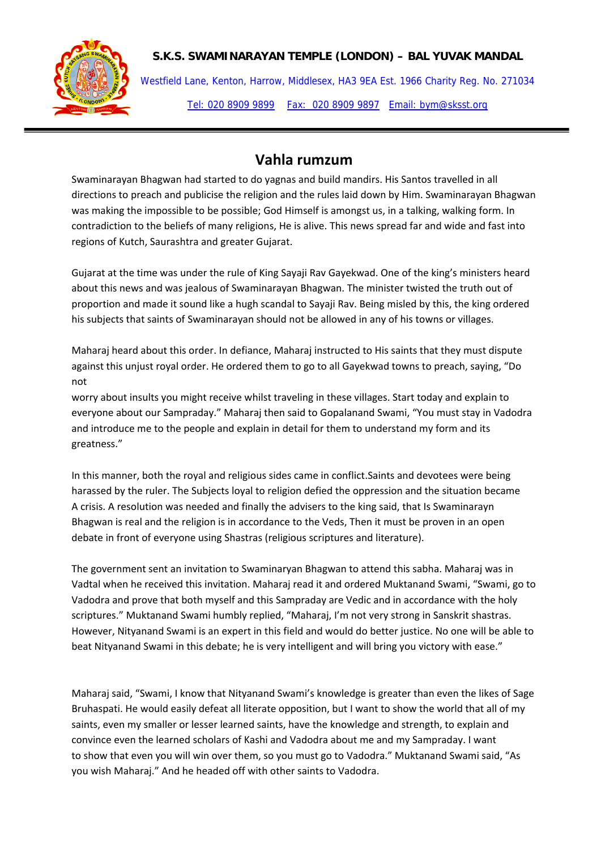Westfield Lane, Kenton, Harrow, Middlesex, HA3 9EA Est. 1966 Charity Reg. No. 271034 Tel: 020 8909 9899 Fax: 020 8909 9897 Email: bym@sksst.org

# **Vahla rumzum**

Swaminarayan Bhagwan had started to do yagnas and build mandirs. His Santos travelled in all directions to preach and publicise the religion and the rules laid down by Him. Swaminarayan Bhagwan was making the impossible to be possible; God Himself is amongst us, in a talking, walking form. In contradiction to the beliefs of many religions, He is alive. This news spread far and wide and fast into regions of Kutch, Saurashtra and greater Gujarat.

Gujarat at the time was under the rule of King Sayaji Rav Gayekwad. One of the king's ministers heard about this news and was jealous of Swaminarayan Bhagwan. The minister twisted the truth out of proportion and made it sound like a hugh scandal to Sayaji Rav. Being misled by this, the king ordered his subjects that saints of Swaminarayan should not be allowed in any of his towns or villages.

Maharaj heard about this order. In defiance, Maharaj instructed to His saints that they must dispute against this unjust royal order. He ordered them to go to all Gayekwad towns to preach, saying, "Do not

worry about insults you might receive whilst traveling in these villages. Start today and explain to everyone about our Sampraday." Maharaj then said to Gopalanand Swami, "You must stay in Vadodra and introduce me to the people and explain in detail for them to understand my form and its greatness."

In this manner, both the royal and religious sides came in conflict.Saints and devotees were being harassed by the ruler. The Subjects loyal to religion defied the oppression and the situation became A crisis. A resolution was needed and finally the advisers to the king said, that Is Swaminarayn Bhagwan is real and the religion is in accordance to the Veds, Then it must be proven in an open debate in front of everyone using Shastras (religious scriptures and literature).

The government sent an invitation to Swaminaryan Bhagwan to attend this sabha. Maharaj was in Vadtal when he received this invitation. Maharaj read it and ordered Muktanand Swami, "Swami, go to Vadodra and prove that both myself and this Sampraday are Vedic and in accordance with the holy scriptures." Muktanand Swami humbly replied, "Maharaj, I'm not very strong in Sanskrit shastras. However, Nityanand Swami is an expert in this field and would do better justice. No one will be able to beat Nityanand Swami in this debate; he is very intelligent and will bring you victory with ease."

Maharaj said, "Swami, I know that Nityanand Swami's knowledge is greater than even the likes of Sage Bruhaspati. He would easily defeat all literate opposition, but I want to show the world that all of my saints, even my smaller or lesser learned saints, have the knowledge and strength, to explain and convince even the learned scholars of Kashi and Vadodra about me and my Sampraday. I want to show that even you will win over them, so you must go to Vadodra." Muktanand Swami said, "As you wish Maharaj." And he headed off with other saints to Vadodra.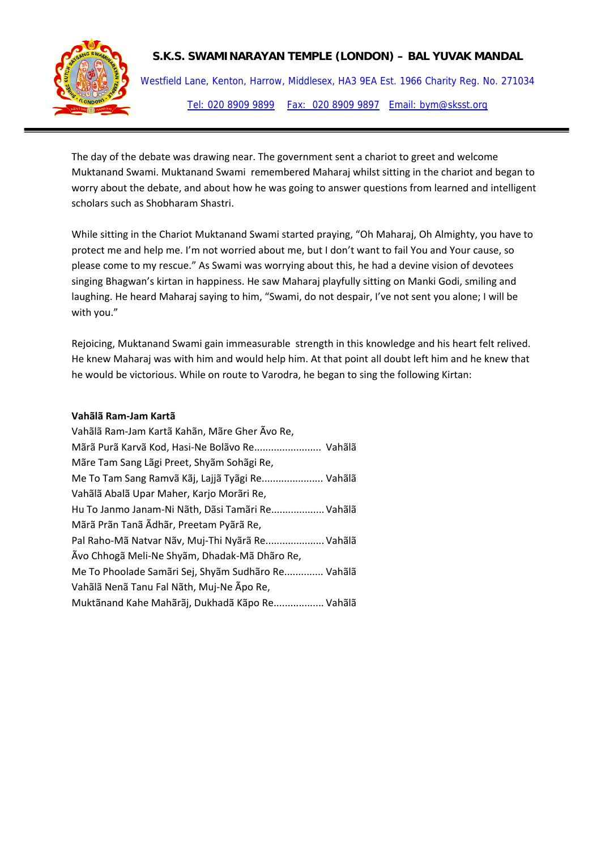

Westfield Lane, Kenton, Harrow, Middlesex, HA3 9EA Est. 1966 Charity Reg. No. 271034 Tel: 020 8909 9899 Fax: 020 8909 9897 Email: bym@sksst.org

The day of the debate was drawing near. The government sent a chariot to greet and welcome Muktanand Swami. Muktanand Swami remembered Maharaj whilst sitting in the chariot and began to worry about the debate, and about how he was going to answer questions from learned and intelligent scholars such as Shobharam Shastri.

While sitting in the Chariot Muktanand Swami started praying, "Oh Maharaj, Oh Almighty, you have to protect me and help me. I'm not worried about me, but I don't want to fail You and Your cause, so please come to my rescue." As Swami was worrying about this, he had a devine vision of devotees singing Bhagwan's kirtan in happiness. He saw Maharaj playfully sitting on Manki Godi, smiling and laughing. He heard Maharaj saying to him, "Swami, do not despair, I've not sent you alone; I will be with you."

Rejoicing, Muktanand Swami gain immeasurable strength in this knowledge and his heart felt relived. He knew Maharaj was with him and would help him. At that point all doubt left him and he knew that he would be victorious. While on route to Varodra, he began to sing the following Kirtan:

#### **Vahãlã Ram‐Jam Kartã**

| Vahãlã Ram-Jam Kartã Kahãn, Mãre Gher Ãvo Re,      |
|----------------------------------------------------|
| Mãrã Purã Karvã Kod, Hasi-Ne Bolãvo Re Vahãlã      |
| Mãre Tam Sang Lãgi Preet, Shyãm Sohãgi Re,         |
| Me To Tam Sang Ramvã Kãj, Lajjã Tyãgi Re Vahãlã    |
| Vahãlã Abalã Upar Maher, Karjo Morãri Re,          |
| Hu To Janmo Janam-Ni Nãth, Dãsi Tamãri Re Vahãlã   |
| Mãrã Prãn Tanã Ãdhãr, Preetam Pyãrã Re,            |
| Pal Raho-Mã Natvar Nãv, Muj-Thi Nyãrã Re Vahãlã    |
| Ãvo Chhogã Meli-Ne Shyãm, Dhadak-Mã Dhãro Re,      |
| Me To Phoolade Samari Sej, Shyam Sudharo Re Vahala |
| Vahãlã Nenã Tanu Fal Nãth, Muj-Ne Ãpo Re,          |
| Muktãnand Kahe Mahãrãj, Dukhadã Kãpo Re Vahãlã     |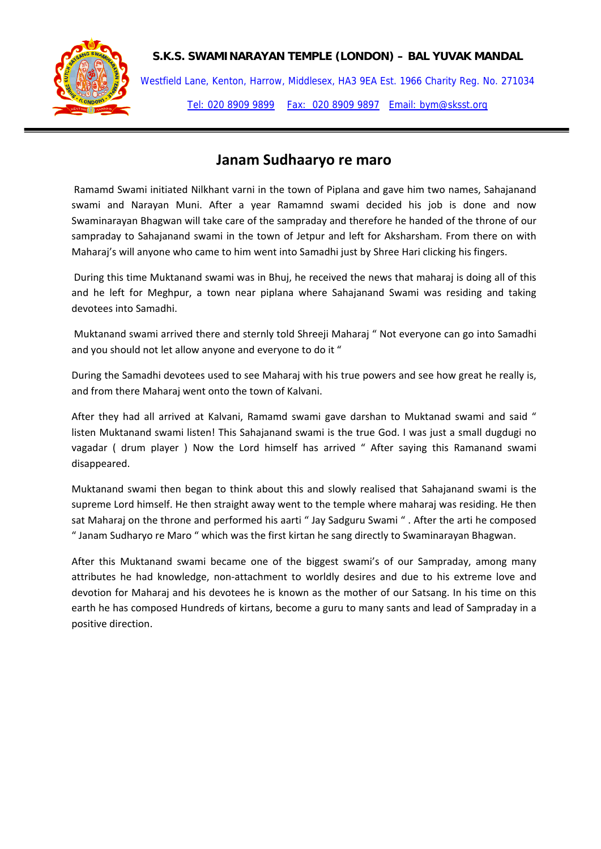

Westfield Lane, Kenton, Harrow, Middlesex, HA3 9EA Est. 1966 Charity Reg. No. 271034 Tel: 020 8909 9899 Fax: 020 8909 9897 Email: bym@sksst.org

# **Janam Sudhaaryo re maro**

Ramamd Swami initiated Nilkhant varni in the town of Piplana and gave him two names, Sahajanand swami and Narayan Muni. After a year Ramamnd swami decided his job is done and now Swaminarayan Bhagwan will take care of the sampraday and therefore he handed of the throne of our sampraday to Sahajanand swami in the town of Jetpur and left for Aksharsham. From there on with Maharaj's will anyone who came to him went into Samadhi just by Shree Hari clicking his fingers.

During this time Muktanand swami was in Bhuj, he received the news that maharaj is doing all of this and he left for Meghpur, a town near piplana where Sahajanand Swami was residing and taking devotees into Samadhi.

Muktanand swami arrived there and sternly told Shreeji Maharaj " Not everyone can go into Samadhi and you should not let allow anyone and everyone to do it "

During the Samadhi devotees used to see Maharaj with his true powers and see how great he really is, and from there Maharaj went onto the town of Kalvani.

After they had all arrived at Kalvani, Ramamd swami gave darshan to Muktanad swami and said " listen Muktanand swami listen! This Sahajanand swami is the true God. I was just a small dugdugi no vagadar ( drum player ) Now the Lord himself has arrived " After saying this Ramanand swami disappeared.

Muktanand swami then began to think about this and slowly realised that Sahajanand swami is the supreme Lord himself. He then straight away went to the temple where maharaj was residing. He then sat Maharaj on the throne and performed his aarti " Jay Sadguru Swami " . After the arti he composed " Janam Sudharyo re Maro " which was the first kirtan he sang directly to Swaminarayan Bhagwan.

After this Muktanand swami became one of the biggest swami's of our Sampraday, among many attributes he had knowledge, non‐attachment to worldly desires and due to his extreme love and devotion for Maharaj and his devotees he is known as the mother of our Satsang. In his time on this earth he has composed Hundreds of kirtans, become a guru to many sants and lead of Sampraday in a positive direction.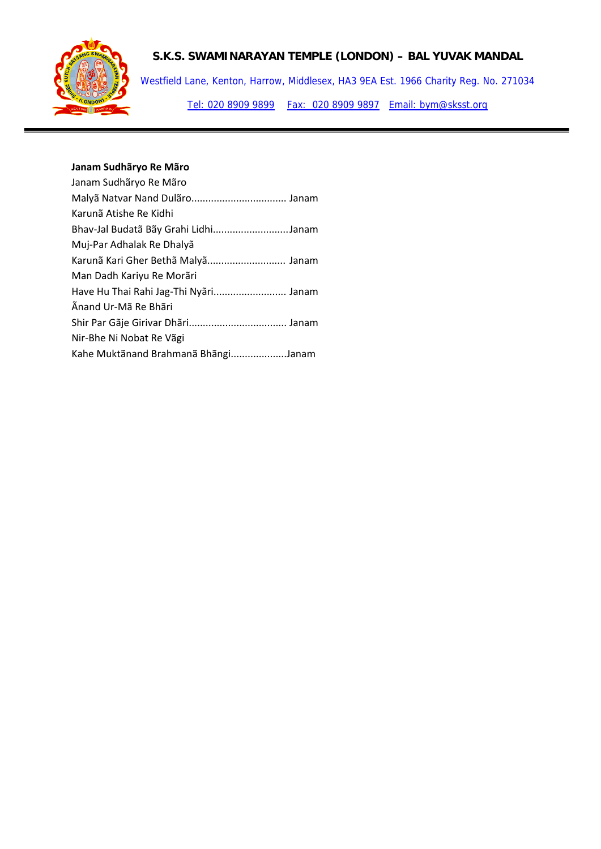

Westfield Lane, Kenton, Harrow, Middlesex, HA3 9EA Est. 1966 Charity Reg. No. 271034 Tel: 020 8909 9899 Fax: 020 8909 9897 Email: bym@sksst.org

# **Janam Sudhãryo Re Mãro**

| Janam Sudhãryo Re Mãro                |
|---------------------------------------|
|                                       |
| Karunã Atishe Re Kidhi                |
| Bhav-Jal Budatã Bãy Grahi LidhiJanam  |
| Muj-Par Adhalak Re Dhalyã             |
| Karunã Kari Gher Bethã Malyã Janam    |
| Man Dadh Kariyu Re Morãri             |
| Have Hu Thai Rahi Jag-Thi Nyari Janam |
| Änand Ur-Mã Re Bhãri                  |
|                                       |
| Nir-Bhe Ni Nobat Re Vãgi              |
| Kahe Muktãnand Brahmanã BhãngiJanam   |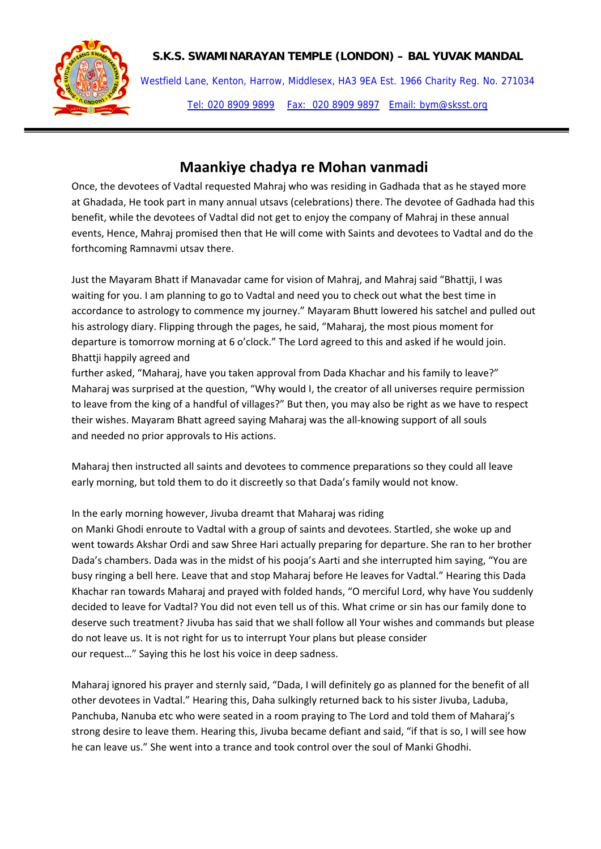

Westfield Lane, Kenton, Harrow, Middlesex, HA3 9EA Est. 1966 Charity Reg. No. 271034 Tel: 020 8909 9899 Fax: 020 8909 9897 Email: bym@sksst.org

# **Maankiye chadya re Mohan vanmadi**

Once, the devotees of Vadtal requested Mahraj who was residing in Gadhada that as he stayed more at Ghadada, He took part in many annual utsavs (celebrations) there. The devotee of Gadhada had this benefit, while the devotees of Vadtal did not get to enjoy the company of Mahraj in these annual events, Hence, Mahraj promised then that He will come with Saints and devotees to Vadtal and do the forthcoming Ramnavmi utsav there.

Just the Mayaram Bhatt if Manavadar came for vision of Mahraj, and Mahraj said "Bhattji, I was waiting for you. I am planning to go to Vadtal and need you to check out what the best time in accordance to astrology to commence my journey." Mayaram Bhutt lowered his satchel and pulled out his astrology diary. Flipping through the pages, he said, "Maharaj, the most pious moment for departure is tomorrow morning at 6 o'clock." The Lord agreed to this and asked if he would join. Bhattji happily agreed and

further asked, "Maharaj, have you taken approval from Dada Khachar and his family to leave?" Maharaj was surprised at the question, "Why would I, the creator of all universes require permission to leave from the king of a handful of villages?" But then, you may also be right as we have to respect their wishes. Mayaram Bhatt agreed saying Maharaj was the all‐knowing support of all souls and needed no prior approvals to His actions.

Maharaj then instructed all saints and devotees to commence preparations so they could all leave early morning, but told them to do it discreetly so that Dada's family would not know.

## In the early morning however, Jivuba dreamt that Maharaj was riding

on Manki Ghodi enroute to Vadtal with a group of saints and devotees. Startled, she woke up and went towards Akshar Ordi and saw Shree Hari actually preparing for departure. She ran to her brother Dada's chambers. Dada was in the midst of his pooja's Aarti and she interrupted him saying, "You are busy ringing a bell here. Leave that and stop Maharaj before He leaves for Vadtal." Hearing this Dada Khachar ran towards Maharaj and prayed with folded hands, "O merciful Lord, why have You suddenly decided to leave for Vadtal? You did not even tell us of this. What crime or sin has our family done to deserve such treatment? Jivuba has said that we shall follow all Your wishes and commands but please do not leave us. It is not right for us to interrupt Your plans but please consider our request…" Saying this he lost his voice in deep sadness.

Maharaj ignored his prayer and sternly said, "Dada, I will definitely go as planned for the benefit of all other devotees in Vadtal." Hearing this, Daha sulkingly returned back to his sister Jivuba, Laduba, Panchuba, Nanuba etc who were seated in a room praying to The Lord and told them of Maharaj's strong desire to leave them. Hearing this, Jivuba became defiant and said, "if that is so, I will see how he can leave us." She went into a trance and took control over the soul of Manki Ghodhi.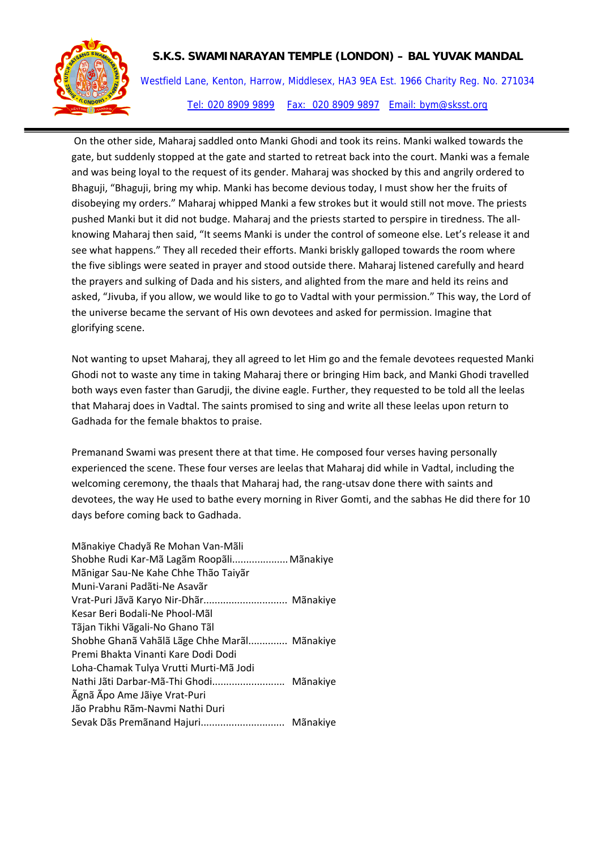

Westfield Lane, Kenton, Harrow, Middlesex, HA3 9EA Est. 1966 Charity Reg. No. 271034 Tel: 020 8909 9899 Fax: 020 8909 9897 Email: bym@sksst.org

On the other side, Maharaj saddled onto Manki Ghodi and took its reins. Manki walked towards the gate, but suddenly stopped at the gate and started to retreat back into the court. Manki was a female and was being loyal to the request of its gender. Maharaj was shocked by this and angrily ordered to Bhaguji, "Bhaguji, bring my whip. Manki has become devious today, I must show her the fruits of disobeying my orders." Maharaj whipped Manki a few strokes but it would still not move. The priests pushed Manki but it did not budge. Maharaj and the priests started to perspire in tiredness. The all‐ knowing Maharaj then said, "It seems Manki is under the control of someone else. Let's release it and see what happens." They all receded their efforts. Manki briskly galloped towards the room where the five siblings were seated in prayer and stood outside there. Maharaj listened carefully and heard the prayers and sulking of Dada and his sisters, and alighted from the mare and held its reins and asked, "Jivuba, if you allow, we would like to go to Vadtal with your permission." This way, the Lord of the universe became the servant of His own devotees and asked for permission. Imagine that glorifying scene.

Not wanting to upset Maharaj, they all agreed to let Him go and the female devotees requested Manki Ghodi not to waste any time in taking Maharaj there or bringing Him back, and Manki Ghodi travelled both ways even faster than Garudji, the divine eagle. Further, they requested to be told all the leelas that Maharaj does in Vadtal. The saints promised to sing and write all these leelas upon return to Gadhada for the female bhaktos to praise.

Premanand Swami was present there at that time. He composed four verses having personally experienced the scene. These four verses are leelas that Maharaj did while in Vadtal, including the welcoming ceremony, the thaals that Maharaj had, the rang-utsav done there with saints and devotees, the way He used to bathe every morning in River Gomti, and the sabhas He did there for 10 days before coming back to Gadhada.

| Mãnakiye Chadyã Re Mohan Van-Mãli            |
|----------------------------------------------|
| Shobhe Rudi Kar-Mã Lagãm Roopãli Mãnakiye    |
| Mãnigar Sau-Ne Kahe Chhe Thão Taiyãr         |
| Muni-Varani Padãti-Ne Asavãr                 |
| Vrat-Puri Jãvã Karyo Nir-Dhãr Mãnakiye       |
| Kesar Beri Bodali-Ne Phool-Mãl               |
| Tãjan Tikhi Vãgali-No Ghano Tãl              |
| Shobhe Ghanã Vahãlã Lãge Chhe Marãl Mãnakiye |
| Premi Bhakta Vinanti Kare Dodi Dodi          |
| Loha-Chamak Tulya Vrutti Murti-Mã Jodi       |
|                                              |
| Ãgnã Ãpo Ame Jãiye Vrat-Puri                 |
| Jão Prabhu Rãm-Navmi Nathi Duri              |
| Mãnakiye                                     |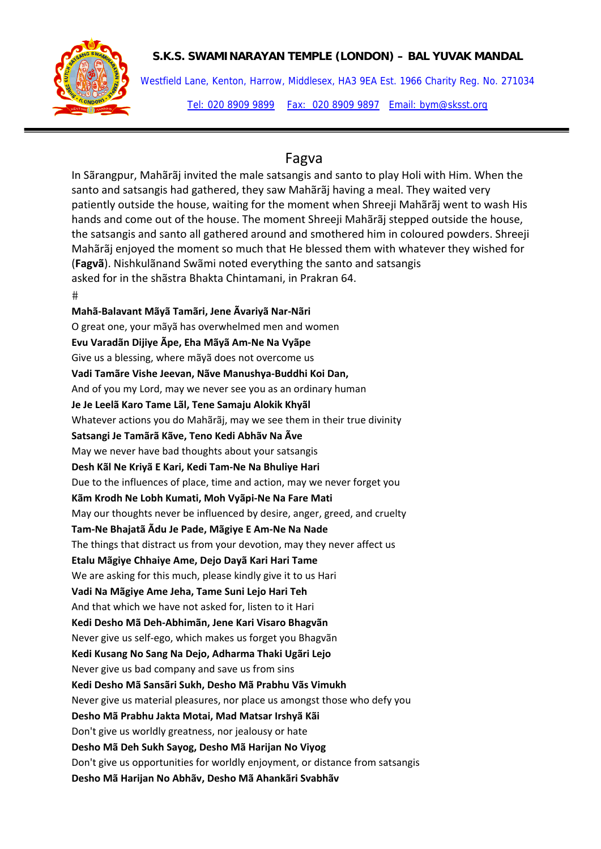

Westfield Lane, Kenton, Harrow, Middlesex, HA3 9EA Est. 1966 Charity Reg. No. 271034 Tel: 020 8909 9899 Fax: 020 8909 9897 Email: bym@sksst.org

# Fagva

In Sãrangpur, Mahãrãj invited the male satsangis and santo to play Holi with Him. When the santo and satsangis had gathered, they saw Mahãrãj having a meal. They waited very patiently outside the house, waiting for the moment when Shreeji Mahãrãj went to wash His hands and come out of the house. The moment Shreeji Mahãrãj stepped outside the house, the satsangis and santo all gathered around and smothered him in coloured powders. Shreeji Mahãrãj enjoyed the moment so much that He blessed them with whatever they wished for (**Fagvã**). Nishkulãnand Swãmi noted everything the santo and satsangis asked for in the shãstra Bhakta Chintamani, in Prakran 64.

 $#$ 

**Mahã‐Balavant Mãyã Tamãri, Jene Ãvariyã Nar‐Nãri** O great one, your mãyã has overwhelmed men and women **Evu Varadãn Dijiye Ãpe, Eha Mãyã Am‐Ne Na Vyãpe** Give us a blessing, where mãyã does not overcome us **Vadi Tamãre Vishe Jeevan, Nãve Manushya‐Buddhi Koi Dan,** And of you my Lord, may we never see you as an ordinary human **Je Je Leelã Karo Tame Lãl, Tene Samaju Alokik Khyãl** Whatever actions you do Mahãrãj, may we see them in their true divinity **Satsangi Je Tamãrã Kãve, Teno Kedi Abhãv Na Ãve** May we never have bad thoughts about your satsangis **Desh Kãl Ne Kriyã E Kari, Kedi Tam‐Ne Na Bhuliye Hari** Due to the influences of place, time and action, may we never forget you **Kãm Krodh Ne Lobh Kumati, Moh Vyãpi‐Ne Na Fare Mati** May our thoughts never be influenced by desire, anger, greed, and cruelty **Tam‐Ne Bhajatã Ãdu Je Pade, Mãgiye E Am‐Ne Na Nade** The things that distract us from your devotion, may they never affect us **Etalu Mãgiye Chhaiye Ame, Dejo Dayã Kari Hari Tame** We are asking for this much, please kindly give it to us Hari **Vadi Na Mãgiye Ame Jeha, Tame Suni Lejo Hari Teh** And that which we have not asked for, listen to it Hari **Kedi Desho Mã Deh‐Abhimãn, Jene Kari Visaro Bhagvãn** Never give us self‐ego, which makes us forget you Bhagvãn **Kedi Kusang No Sang Na Dejo, Adharma Thaki Ugãri Lejo** Never give us bad company and save us from sins **Kedi Desho Mã Sansãri Sukh, Desho Mã Prabhu Vãs Vimukh** Never give us material pleasures, nor place us amongst those who defy you **Desho Mã Prabhu Jakta Motai, Mad Matsar Irshyã Kãi** Don't give us worldly greatness, nor jealousy or hate **Desho Mã Deh Sukh Sayog, Desho Mã Harijan No Viyog** Don't give us opportunities for worldly enjoyment, or distance from satsangis **Desho Mã Harijan No Abhãv, Desho Mã Ahankãri Svabhãv**